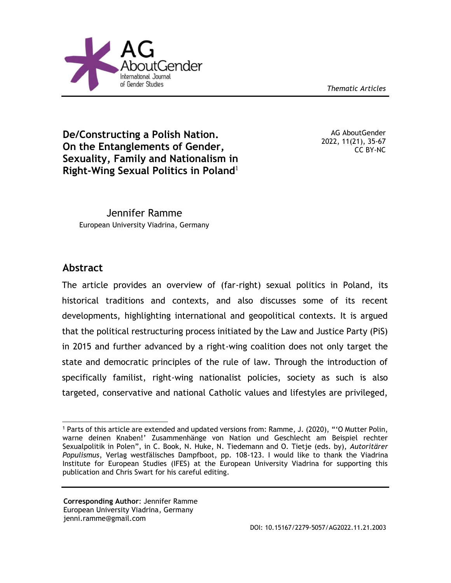*Thematic Articles*



**De/Constructing a Polish Nation. On the Entanglements of Gender, Sexuality, Family and Nationalism in Right-Wing Sexual Politics in Poland**<sup>1</sup>

AG AboutGender 2022, 11(21), 35-67 CC BY-NC

Jennifer Ramme European University Viadrina, Germany

# **Abstract**

The article provides an overview of (far-right) sexual politics in Poland, its historical traditions and contexts, and also discusses some of its recent developments, highlighting international and geopolitical contexts. It is argued that the political restructuring process initiated by the Law and Justice Party (PiS) in 2015 and further advanced by a right-wing coalition does not only target the state and democratic principles of the rule of law. Through the introduction of specifically familist, right-wing nationalist policies, society as such is also targeted, conservative and national Catholic values and lifestyles are privileged,

 <sup>1</sup> Parts of this article are extended and updated versions from: Ramme, J. (2020), "'O Mutter Polin, warne deinen Knaben!' Zusammenhänge von Nation und Geschlecht am Beispiel rechter Sexualpolitik in Polen", in C. Book, N. Huke, N. Tiedemann and O. Tietje (eds. by), *Autoritärer Populismus*, Verlag westfälisches Dampfboot, pp. 108-123. I would like to thank the Viadrina Institute for European Studies (IFES) at the European University Viadrina for supporting this publication and Chris Swart for his careful editing.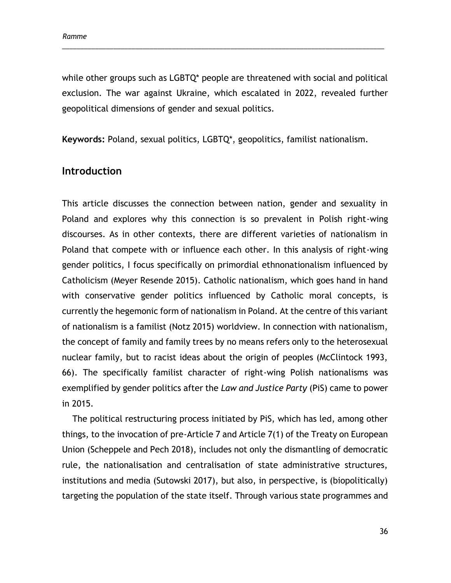while other groups such as LGBTQ\* people are threatened with social and political exclusion. The war against Ukraine, which escalated in 2022, revealed further geopolitical dimensions of gender and sexual politics.

\_\_\_\_\_\_\_\_\_\_\_\_\_\_\_\_\_\_\_\_\_\_\_\_\_\_\_\_\_\_\_\_\_\_\_\_\_\_\_\_\_\_\_\_\_\_\_\_\_\_\_\_\_\_\_\_\_\_\_\_\_\_\_\_\_\_\_\_\_\_\_\_\_\_\_\_\_\_\_\_\_\_\_\_\_\_\_\_

**Keywords:** Poland, sexual politics, LGBTQ\*, geopolitics, familist nationalism.

### **Introduction**

This article discusses the connection between nation, gender and sexuality in Poland and explores why this connection is so prevalent in Polish right-wing discourses. As in other contexts, there are different varieties of nationalism in Poland that compete with or influence each other. In this analysis of right-wing gender politics, I focus specifically on primordial ethnonationalism influenced by Catholicism (Meyer Resende 2015). Catholic nationalism, which goes hand in hand with conservative gender politics influenced by Catholic moral concepts, is currently the hegemonic form of nationalism in Poland. At the centre of this variant of nationalism is a familist (Notz 2015) worldview. In connection with nationalism, the concept of family and family trees by no means refers only to the heterosexual nuclear family, but to racist ideas about the origin of peoples (McClintock 1993, 66). The specifically familist character of right-wing Polish nationalisms was exemplified by gender politics after the *Law and Justice Party* (PiS) came to power in 2015.

The political restructuring process initiated by PiS, which has led, among other things, to the invocation of pre-Article 7 and Article 7(1) of the Treaty on European Union (Scheppele and Pech 2018), includes not only the dismantling of democratic rule, the nationalisation and centralisation of state administrative structures, institutions and media (Sutowski 2017), but also, in perspective, is (biopolitically) targeting the population of the state itself. Through various state programmes and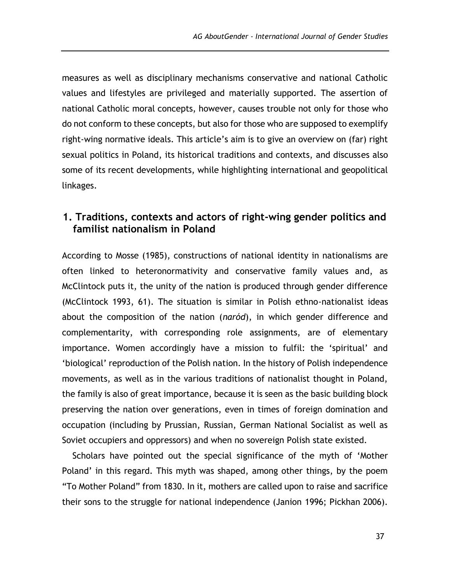measures as well as disciplinary mechanisms conservative and national Catholic values and lifestyles are privileged and materially supported. The assertion of national Catholic moral concepts, however, causes trouble not only for those who do not conform to these concepts, but also for those who are supposed to exemplify right-wing normative ideals. This article's aim is to give an overview on (far) right sexual politics in Poland, its historical traditions and contexts, and discusses also some of its recent developments, while highlighting international and geopolitical linkages.

# **1. Traditions, contexts and actors of right-wing gender politics and familist nationalism in Poland**

According to Mosse (1985), constructions of national identity in nationalisms are often linked to heteronormativity and conservative family values and, as McClintock puts it, the unity of the nation is produced through gender difference (McClintock 1993, 61). The situation is similar in Polish ethno-nationalist ideas about the composition of the nation (*naród*), in which gender difference and complementarity, with corresponding role assignments, are of elementary importance. Women accordingly have a mission to fulfil: the 'spiritual' and 'biological' reproduction of the Polish nation. In the history of Polish independence movements, as well as in the various traditions of nationalist thought in Poland, the family is also of great importance, because it is seen as the basic building block preserving the nation over generations, even in times of foreign domination and occupation (including by Prussian, Russian, German National Socialist as well as Soviet occupiers and oppressors) and when no sovereign Polish state existed.

Scholars have pointed out the special significance of the myth of 'Mother Poland' in this regard. This myth was shaped, among other things, by the poem "To Mother Poland" from 1830. In it, mothers are called upon to raise and sacrifice their sons to the struggle for national independence (Janion 1996; Pickhan 2006).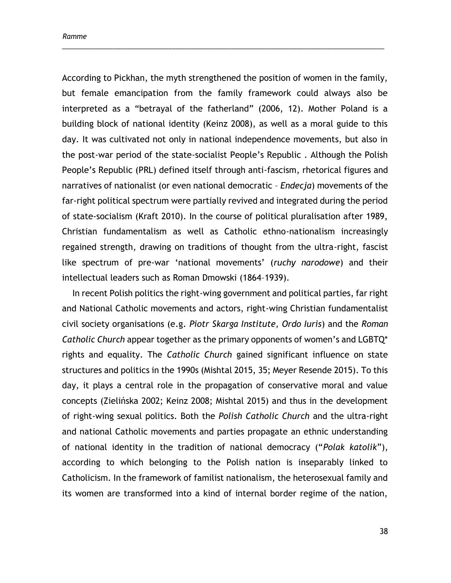According to Pickhan, the myth strengthened the position of women in the family, but female emancipation from the family framework could always also be interpreted as a "betrayal of the fatherland" (2006, 12). Mother Poland is a building block of national identity (Keinz 2008), as well as a moral guide to this day. It was cultivated not only in national independence movements, but also in the post-war period of the state-socialist People's Republic . Although the Polish People's Republic (PRL) defined itself through anti-fascism, rhetorical figures and narratives of nationalist (or even national democratic – *Endecja*) movements of the far-right political spectrum were partially revived and integrated during the period of state-socialism (Kraft 2010). In the course of political pluralisation after 1989, Christian fundamentalism as well as Catholic ethno-nationalism increasingly regained strength, drawing on traditions of thought from the ultra-right, fascist like spectrum of pre-war 'national movements' (*ruchy narodowe*) and their intellectual leaders such as Roman Dmowski (1864–1939).

\_\_\_\_\_\_\_\_\_\_\_\_\_\_\_\_\_\_\_\_\_\_\_\_\_\_\_\_\_\_\_\_\_\_\_\_\_\_\_\_\_\_\_\_\_\_\_\_\_\_\_\_\_\_\_\_\_\_\_\_\_\_\_\_\_\_\_\_\_\_\_\_\_\_\_\_\_\_\_\_\_\_\_\_\_\_\_\_

In recent Polish politics the right-wing government and political parties, far right and National Catholic movements and actors, right-wing Christian fundamentalist civil society organisations (e.g. *Piotr Skarga Institute, Ordo Iuris*) and the *Roman Catholic Church* appear together as the primary opponents of women's and LGBTQ\* rights and equality. The *Catholic Church* gained significant influence on state structures and politics in the 1990s (Mishtal 2015, 35; Meyer Resende 2015). To this day, it plays a central role in the propagation of conservative moral and value concepts (Zielińska 2002; Keinz 2008; Mishtal 2015) and thus in the development of right-wing sexual politics. Both the *Polish Catholic Church* and the ultra-right and national Catholic movements and parties propagate an ethnic understanding of national identity in the tradition of national democracy ("*Polak katolik*"), according to which belonging to the Polish nation is inseparably linked to Catholicism. In the framework of familist nationalism, the heterosexual family and its women are transformed into a kind of internal border regime of the nation,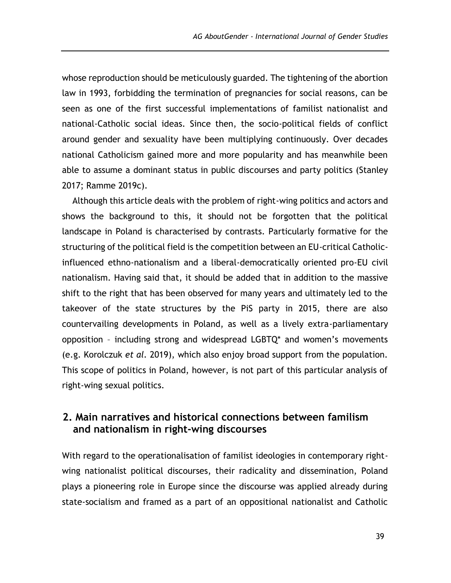whose reproduction should be meticulously guarded. The tightening of the abortion law in 1993, forbidding the termination of pregnancies for social reasons, can be seen as one of the first successful implementations of familist nationalist and national-Catholic social ideas. Since then, the socio-political fields of conflict around gender and sexuality have been multiplying continuously. Over decades national Catholicism gained more and more popularity and has meanwhile been able to assume a dominant status in public discourses and party politics (Stanley 2017; Ramme 2019c).

Although this article deals with the problem of right-wing politics and actors and shows the background to this, it should not be forgotten that the political landscape in Poland is characterised by contrasts. Particularly formative for the structuring of the political field is the competition between an EU-critical Catholicinfluenced ethno-nationalism and a liberal-democratically oriented pro-EU civil nationalism. Having said that, it should be added that in addition to the massive shift to the right that has been observed for many years and ultimately led to the takeover of the state structures by the PiS party in 2015, there are also countervailing developments in Poland, as well as a lively extra-parliamentary opposition – including strong and widespread LGBTQ\* and women's movements (e.g. Korolczuk *et al.* 2019), which also enjoy broad support from the population. This scope of politics in Poland, however, is not part of this particular analysis of right-wing sexual politics.

## **2. Main narratives and historical connections between familism and nationalism in right-wing discourses**

With regard to the operationalisation of familist ideologies in contemporary rightwing nationalist political discourses, their radicality and dissemination, Poland plays a pioneering role in Europe since the discourse was applied already during state-socialism and framed as a part of an oppositional nationalist and Catholic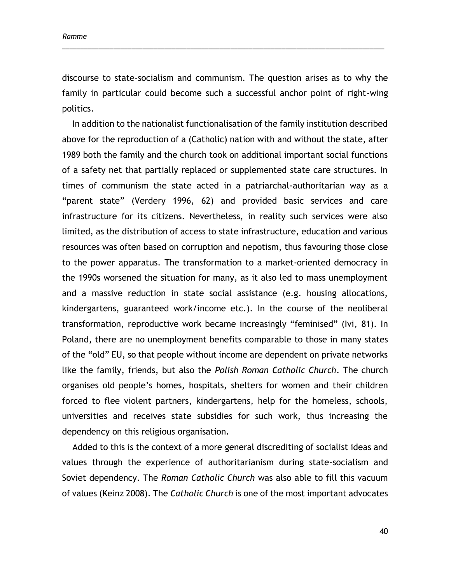discourse to state-socialism and communism. The question arises as to why the family in particular could become such a successful anchor point of right-wing politics.

\_\_\_\_\_\_\_\_\_\_\_\_\_\_\_\_\_\_\_\_\_\_\_\_\_\_\_\_\_\_\_\_\_\_\_\_\_\_\_\_\_\_\_\_\_\_\_\_\_\_\_\_\_\_\_\_\_\_\_\_\_\_\_\_\_\_\_\_\_\_\_\_\_\_\_\_\_\_\_\_\_\_\_\_\_\_\_\_

In addition to the nationalist functionalisation of the family institution described above for the reproduction of a (Catholic) nation with and without the state, after 1989 both the family and the church took on additional important social functions of a safety net that partially replaced or supplemented state care structures. In times of communism the state acted in a patriarchal-authoritarian way as a "parent state" (Verdery 1996, 62) and provided basic services and care infrastructure for its citizens. Nevertheless, in reality such services were also limited, as the distribution of access to state infrastructure, education and various resources was often based on corruption and nepotism, thus favouring those close to the power apparatus. The transformation to a market-oriented democracy in the 1990s worsened the situation for many, as it also led to mass unemployment and a massive reduction in state social assistance (e.g. housing allocations, kindergartens, guaranteed work/income etc.). In the course of the neoliberal transformation, reproductive work became increasingly "feminised" (Ivi, 81). In Poland, there are no unemployment benefits comparable to those in many states of the "old" EU, so that people without income are dependent on private networks like the family, friends, but also the *Polish Roman Catholic Church*. The church organises old people's homes, hospitals, shelters for women and their children forced to flee violent partners, kindergartens, help for the homeless, schools, universities and receives state subsidies for such work, thus increasing the dependency on this religious organisation.

Added to this is the context of a more general discrediting of socialist ideas and values through the experience of authoritarianism during state-socialism and Soviet dependency. The *Roman Catholic Church* was also able to fill this vacuum of values (Keinz 2008). The *Catholic Church* is one of the most important advocates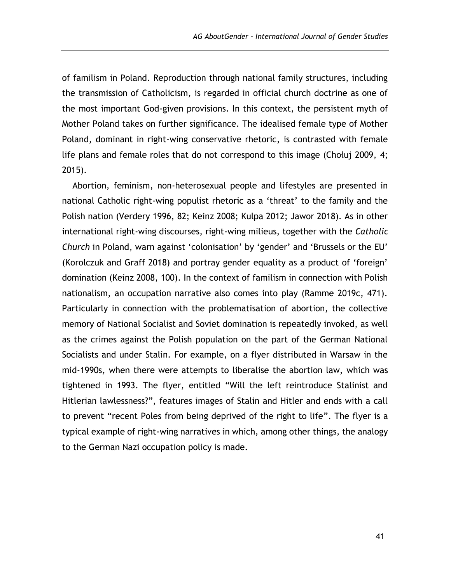of familism in Poland. Reproduction through national family structures, including the transmission of Catholicism, is regarded in official church doctrine as one of the most important God-given provisions. In this context, the persistent myth of Mother Poland takes on further significance. The idealised female type of Mother Poland, dominant in right-wing conservative rhetoric, is contrasted with female life plans and female roles that do not correspond to this image (Chołuj 2009, 4; 2015).

Abortion, feminism, non-heterosexual people and lifestyles are presented in national Catholic right-wing populist rhetoric as a 'threat' to the family and the Polish nation (Verdery 1996, 82; Keinz 2008; Kulpa 2012; Jawor 2018). As in other international right-wing discourses, right-wing milieus, together with the *Catholic Church* in Poland, warn against 'colonisation' by 'gender' and 'Brussels or the EU' (Korolczuk and Graff 2018) and portray gender equality as a product of 'foreign' domination (Keinz 2008, 100). In the context of familism in connection with Polish nationalism, an occupation narrative also comes into play (Ramme 2019c, 471). Particularly in connection with the problematisation of abortion, the collective memory of National Socialist and Soviet domination is repeatedly invoked, as well as the crimes against the Polish population on the part of the German National Socialists and under Stalin. For example, on a flyer distributed in Warsaw in the mid-1990s, when there were attempts to liberalise the abortion law, which was tightened in 1993. The flyer, entitled "Will the left reintroduce Stalinist and Hitlerian lawlessness?", features images of Stalin and Hitler and ends with a call to prevent "recent Poles from being deprived of the right to life". The flyer is a typical example of right-wing narratives in which, among other things, the analogy to the German Nazi occupation policy is made.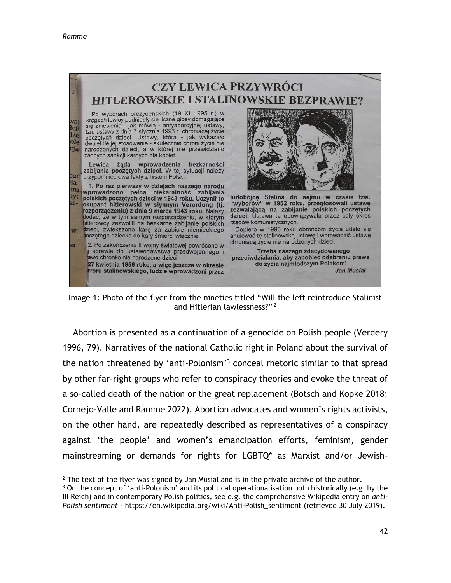

\_\_\_\_\_\_\_\_\_\_\_\_\_\_\_\_\_\_\_\_\_\_\_\_\_\_\_\_\_\_\_\_\_\_\_\_\_\_\_\_\_\_\_\_\_\_\_\_\_\_\_\_\_\_\_\_\_\_\_\_\_\_\_\_\_\_\_\_\_\_\_\_\_\_\_\_\_\_\_\_\_\_\_\_\_\_\_\_

Image 1: Photo of the flyer from the nineties titled "Will the left reintroduce Stalinist and Hitlerian lawlessness?" <sup>2</sup>

Abortion is presented as a continuation of a genocide on Polish people (Verdery 1996, 79). Narratives of the national Catholic right in Poland about the survival of the nation threatened by 'anti-Polonism'<sup>3</sup> conceal rhetoric similar to that spread by other far-right groups who refer to conspiracy theories and evoke the threat of a so-called death of the nation or the great replacement (Botsch and Kopke 2018; Cornejo-Valle and Ramme 2022). Abortion advocates and women's rights activists, on the other hand, are repeatedly described as representatives of a conspiracy against 'the people' and women's emancipation efforts, feminism, gender mainstreaming or demands for rights for LGBTQ\* as Marxist and/or Jewish-

  $<sup>2</sup>$  The text of the flyer was signed by Jan Musial and is in the private archive of the author.</sup>

 $3$  On the concept of 'anti-Polonism' and its political operationalisation both historically (e.g. by the III Reich) and in contemporary Polish politics, see e.g. the comprehensive Wikipedia entry on *anti-Polish sentiment* - https://en.wikipedia.org/wiki/Anti-Polish\_sentiment (retrieved 30 July 2019).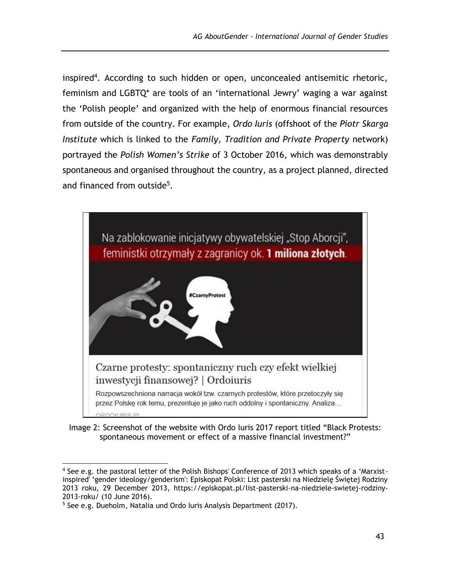inspired<sup>4</sup>. According to such hidden or open, unconcealed antisemitic rhetoric, feminism and LGBTQ\* are tools of an 'international Jewry' waging a war against the 'Polish people' and organized with the help of enormous financial resources from outside of the country. For example, *Ordo Iuris* (offshoot of the *Piotr Skarga Institute* which is linked to the *Family, Tradition and Private Property* network) portrayed the *Polish Women's Strike* of 3 October 2016, which was demonstrably spontaneous and organised throughout the country, as a project planned, directed and financed from outside<sup>5</sup>.



Image 2: Screenshot of the website with Ordo Iuris 2017 report titled "Black Protests: spontaneous movement or effect of a massive financial investment?"

<sup>4</sup> See e.g. the pastoral letter of the Polish Bishops' Conference of 2013 which speaks of a 'Marxistinspired' 'gender ideology/genderism': Episkopat Polski: List pasterski na Niedzielę Świętej Rodziny 2013 roku, 29 December 2013, https://episkopat.pl/list-pasterski-na-niedziele-swietej-rodziny-2013-roku/ (10 June 2016).

<sup>5</sup> See e.g. Dueholm, Natalia und Ordo Iuris Analysis Department (2017).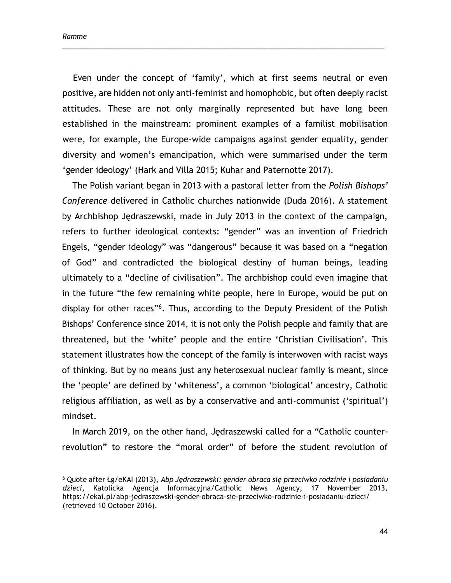Even under the concept of 'family', which at first seems neutral or even positive, are hidden not only anti-feminist and homophobic, but often deeply racist attitudes. These are not only marginally represented but have long been established in the mainstream: prominent examples of a familist mobilisation were, for example, the Europe-wide campaigns against gender equality, gender diversity and women's emancipation, which were summarised under the term 'gender ideology' (Hark and Villa 2015; Kuhar and Paternotte 2017).

\_\_\_\_\_\_\_\_\_\_\_\_\_\_\_\_\_\_\_\_\_\_\_\_\_\_\_\_\_\_\_\_\_\_\_\_\_\_\_\_\_\_\_\_\_\_\_\_\_\_\_\_\_\_\_\_\_\_\_\_\_\_\_\_\_\_\_\_\_\_\_\_\_\_\_\_\_\_\_\_\_\_\_\_\_\_\_\_

The Polish variant began in 2013 with a pastoral letter from the *Polish Bishops' Conference* delivered in Catholic churches nationwide (Duda 2016). A statement by Archbishop Jędraszewski, made in July 2013 in the context of the campaign, refers to further ideological contexts: "gender" was an invention of Friedrich Engels, "gender ideology" was "dangerous" because it was based on a "negation of God" and contradicted the biological destiny of human beings, leading ultimately to a "decline of civilisation". The archbishop could even imagine that in the future "the few remaining white people, here in Europe, would be put on display for other races"<sup>6</sup>. Thus, according to the Deputy President of the Polish Bishops' Conference since 2014, it is not only the Polish people and family that are threatened, but the 'white' people and the entire 'Christian Civilisation'. This statement illustrates how the concept of the family is interwoven with racist ways of thinking. But by no means just any heterosexual nuclear family is meant, since the 'people' are defined by 'whiteness', a common 'biological' ancestry, Catholic religious affiliation, as well as by a conservative and anti-communist ('spiritual') mindset.

In March 2019, on the other hand, Jędraszewski called for a "Catholic counterrevolution" to restore the "moral order" of before the student revolution of

<sup>6</sup> Quote after Łg/eKAI (2013), *Abp Jędraszewski: gender obraca się przeciwko rodzinie i posiadaniu dzieci*, Katolicka Agencja Informacyjna/Catholic News Agency, 17 November 2013, https://ekai.pl/abp-jedraszewski-gender-obraca-sie-przeciwko-rodzinie-i-posiadaniu-dzieci/ (retrieved 10 October 2016).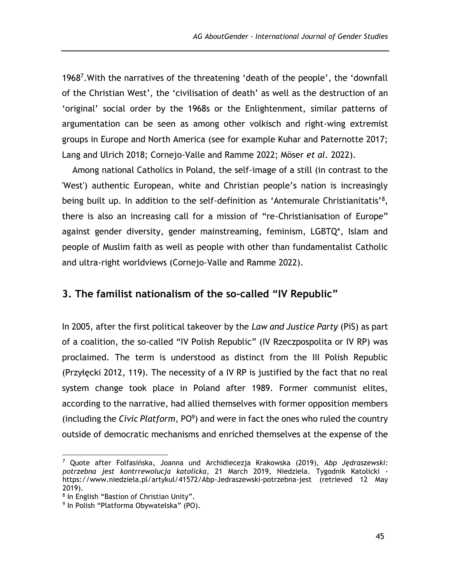1968<sup>7</sup> .With the narratives of the threatening 'death of the people', the 'downfall of the Christian West', the 'civilisation of death' as well as the destruction of an 'original' social order by the 1968s or the Enlightenment, similar patterns of argumentation can be seen as among other volkisch and right-wing extremist groups in Europe and North America (see for example Kuhar and Paternotte 2017; Lang and Ulrich 2018; Cornejo-Valle and Ramme 2022; Möser *et al.* 2022).

Among national Catholics in Poland, the self-image of a still (in contrast to the 'West') authentic European, white and Christian people's nation is increasingly being built up. In addition to the self-definition as 'Antemurale Christianitatis'<sup>8</sup>, there is also an increasing call for a mission of "re-Christianisation of Europe" against gender diversity, gender mainstreaming, feminism, LGBTQ\*, Islam and people of Muslim faith as well as people with other than fundamentalist Catholic and ultra-right worldviews (Cornejo-Valle and Ramme 2022).

### **3. The familist nationalism of the so-called "IV Republic"**

In 2005, after the first political takeover by the *Law and Justice Party* (PiS) as part of a coalition, the so-called "IV Polish Republic" (IV Rzeczpospolita or IV RP) was proclaimed. The term is understood as distinct from the III Polish Republic (Przyłęcki 2012, 119). The necessity of a IV RP is justified by the fact that no real system change took place in Poland after 1989. Former communist elites, according to the narrative, had allied themselves with former opposition members (including the *Civic Platform*, PO<sup>9</sup> ) and were in fact the ones who ruled the country outside of democratic mechanisms and enriched themselves at the expense of the

<sup>7</sup> Quote after Folfasińska, Joanna und Archidiecezja Krakowska (2019), *Abp Jędraszewski: potrzebna jest kontrrewolucja katolicka*, 21 March 2019, Niedziela. Tygodnik Katolicki <https://www.niedziela.pl/artykul/41572/Abp-Jedraszewski-potrzebna-jest> (retrieved 12 May 2019).

<sup>&</sup>lt;sup>8</sup> In English "Bastion of Christian Unity".

<sup>9</sup> In Polish "Platforma Obywatelska" (PO).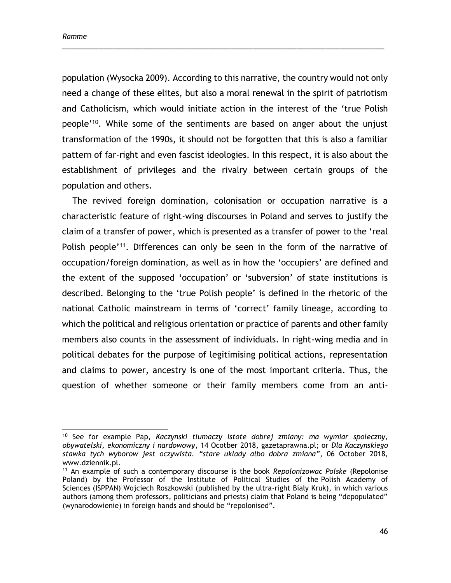$\overline{a}$ 

population (Wysocka 2009). According to this narrative, the country would not only need a change of these elites, but also a moral renewal in the spirit of patriotism and Catholicism, which would initiate action in the interest of the 'true Polish people'<sup>10</sup> . While some of the sentiments are based on anger about the unjust transformation of the 1990s, it should not be forgotten that this is also a familiar pattern of far-right and even fascist ideologies. In this respect, it is also about the establishment of privileges and the rivalry between certain groups of the population and others.

\_\_\_\_\_\_\_\_\_\_\_\_\_\_\_\_\_\_\_\_\_\_\_\_\_\_\_\_\_\_\_\_\_\_\_\_\_\_\_\_\_\_\_\_\_\_\_\_\_\_\_\_\_\_\_\_\_\_\_\_\_\_\_\_\_\_\_\_\_\_\_\_\_\_\_\_\_\_\_\_\_\_\_\_\_\_\_\_

The revived foreign domination, colonisation or occupation narrative is a characteristic feature of right-wing discourses in Poland and serves to justify the claim of a transfer of power, which is presented as a transfer of power to the 'real Polish people<sup>'11</sup>. Differences can only be seen in the form of the narrative of occupation/foreign domination, as well as in how the 'occupiers' are defined and the extent of the supposed 'occupation' or 'subversion' of state institutions is described. Belonging to the 'true Polish people' is defined in the rhetoric of the national Catholic mainstream in terms of 'correct' family lineage, according to which the political and religious orientation or practice of parents and other family members also counts in the assessment of individuals. In right-wing media and in political debates for the purpose of legitimising political actions, representation and claims to power, ancestry is one of the most important criteria. Thus, the question of whether someone or their family members come from an anti-

<sup>10</sup> See for example Pap, *Kaczynski tlumaczy istote dobrej zmiany: ma wymiar spoleczny, obywatelski, ekonomiczny i nardowowy*, 14 Ocotber 2018, gazetaprawna.pl; or *Dla Kaczynskiego stawka tych wyborow jest oczywista. "stare uklady albo dobra zmiana"*, 06 October 2018, [www.dziennik.pl.](http://www.dziennik.pl/)

<sup>11</sup> An example of such a contemporary discourse is the book *Repolonizowac Polske* (Repolonise Poland) by the Professor of the Institute of Political Studies of the Polish Academy of Sciences (ISPPAN) Wojciech Roszkowski (published by the ultra-right Bialy Kruk), in which various authors (among them professors, politicians and priests) claim that Poland is being "depopulated" (wynarodowienie) in foreign hands and should be "repolonised".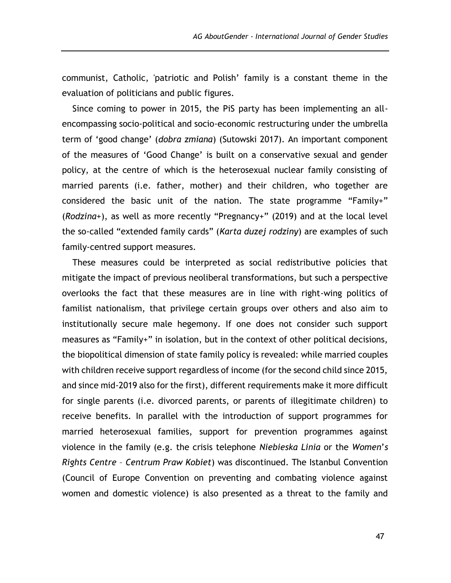communist, Catholic, 'patriotic and Polish' family is a constant theme in the evaluation of politicians and public figures.

Since coming to power in 2015, the PiS party has been implementing an allencompassing socio-political and socio-economic restructuring under the umbrella term of 'good change' (*dobra zmiana*) (Sutowski 2017). An important component of the measures of 'Good Change' is built on a conservative sexual and gender policy, at the centre of which is the heterosexual nuclear family consisting of married parents (i.e. father, mother) and their children, who together are considered the basic unit of the nation. The state programme "Family+" (*Rodzina+*), as well as more recently "Pregnancy+" (2019) and at the local level the so-called "extended family cards" (*Karta duzej rodziny*) are examples of such family-centred support measures.

These measures could be interpreted as social redistributive policies that mitigate the impact of previous neoliberal transformations, but such a perspective overlooks the fact that these measures are in line with right-wing politics of familist nationalism, that privilege certain groups over others and also aim to institutionally secure male hegemony. If one does not consider such support measures as "Family+" in isolation, but in the context of other political decisions, the biopolitical dimension of state family policy is revealed: while married couples with children receive support regardless of income (for the second child since 2015, and since mid-2019 also for the first), different requirements make it more difficult for single parents (i.e. divorced parents, or parents of illegitimate children) to receive benefits. In parallel with the introduction of support programmes for married heterosexual families, support for prevention programmes against violence in the family (e.g. the crisis telephone *Niebieska Linia* or the *Women*'*s Rights Centre* – *Centrum Praw Kobiet*) was discontinued. The Istanbul Convention (Council of Europe Convention on preventing and combating violence against women and domestic violence) is also presented as a threat to the family and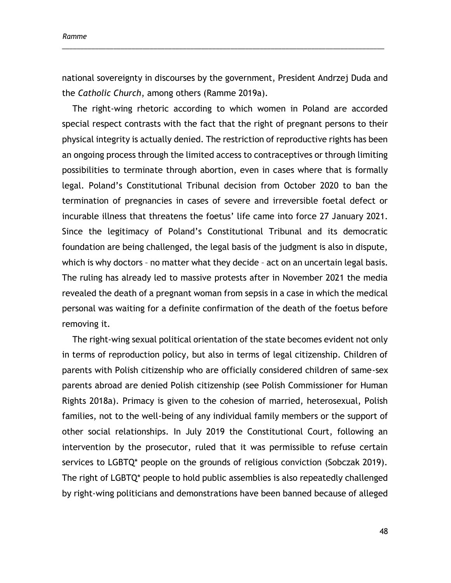national sovereignty in discourses by the government, President Andrzej Duda and the *Catholic Church*, among others (Ramme 2019a).

\_\_\_\_\_\_\_\_\_\_\_\_\_\_\_\_\_\_\_\_\_\_\_\_\_\_\_\_\_\_\_\_\_\_\_\_\_\_\_\_\_\_\_\_\_\_\_\_\_\_\_\_\_\_\_\_\_\_\_\_\_\_\_\_\_\_\_\_\_\_\_\_\_\_\_\_\_\_\_\_\_\_\_\_\_\_\_\_

The right-wing rhetoric according to which women in Poland are accorded special respect contrasts with the fact that the right of pregnant persons to their physical integrity is actually denied. The restriction of reproductive rights has been an ongoing process through the limited access to contraceptives or through limiting possibilities to terminate through abortion, even in cases where that is formally legal. Poland's Constitutional Tribunal decision from October 2020 to ban the termination of pregnancies in cases of severe and irreversible foetal defect or incurable illness that threatens the foetus' life came into force 27 January 2021. Since the legitimacy of Poland's Constitutional Tribunal and its democratic foundation are being challenged, the legal basis of the judgment is also in dispute, which is why doctors - no matter what they decide - act on an uncertain legal basis. The ruling has already led to massive protests after in November 2021 the media revealed the death of a pregnant woman from sepsis in a case in which the medical personal was waiting for a definite confirmation of the death of the foetus before removing it.

The right-wing sexual political orientation of the state becomes evident not only in terms of reproduction policy, but also in terms of legal citizenship. Children of parents with Polish citizenship who are officially considered children of same-sex parents abroad are denied Polish citizenship (see Polish Commissioner for Human Rights 2018a). Primacy is given to the cohesion of married, heterosexual, Polish families, not to the well-being of any individual family members or the support of other social relationships. In July 2019 the Constitutional Court, following an intervention by the prosecutor, ruled that it was permissible to refuse certain services to LGBTQ\* people on the grounds of religious conviction (Sobczak 2019). The right of LGBTQ\* people to hold public assemblies is also repeatedly challenged by right-wing politicians and demonstrations have been banned because of alleged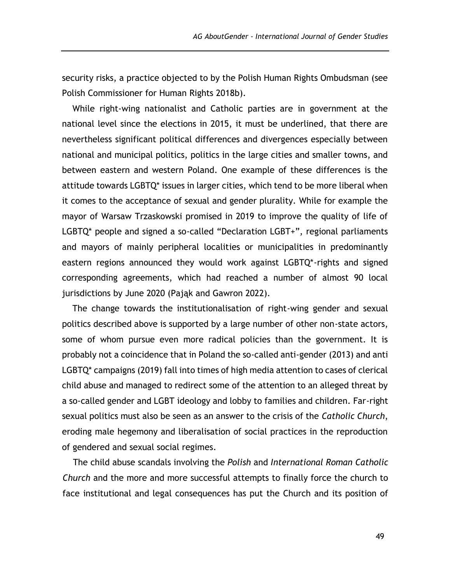security risks, a practice objected to by the Polish Human Rights Ombudsman (see Polish Commissioner for Human Rights 2018b).

While right-wing nationalist and Catholic parties are in government at the national level since the elections in 2015, it must be underlined, that there are nevertheless significant political differences and divergences especially between national and municipal politics, politics in the large cities and smaller towns, and between eastern and western Poland. One example of these differences is the attitude towards LGBTQ\* issues in larger cities, which tend to be more liberal when it comes to the acceptance of sexual and gender plurality. While for example the mayor of Warsaw Trzaskowski promised in 2019 to improve the quality of life of LGBTQ\* people and signed a so-called "Declaration LGBT+", regional parliaments and mayors of mainly peripheral localities or municipalities in predominantly eastern regions announced they would work against LGBTQ\*-rights and signed corresponding agreements, which had reached a number of almost 90 local jurisdictions by June 2020 (Pająk and Gawron 2022).

The change towards the institutionalisation of right-wing gender and sexual politics described above is supported by a large number of other non-state actors, some of whom pursue even more radical policies than the government. It is probably not a coincidence that in Poland the so-called anti-gender (2013) and anti LGBTQ\* campaigns (2019) fall into times of high media attention to cases of clerical child abuse and managed to redirect some of the attention to an alleged threat by a so-called gender and LGBT ideology and lobby to families and children. Far-right sexual politics must also be seen as an answer to the crisis of the *Catholic Church*, eroding male hegemony and liberalisation of social practices in the reproduction of gendered and sexual social regimes.

The child abuse scandals involving the *Polish* and *International Roman Catholic Church* and the more and more successful attempts to finally force the church to face institutional and legal consequences has put the Church and its position of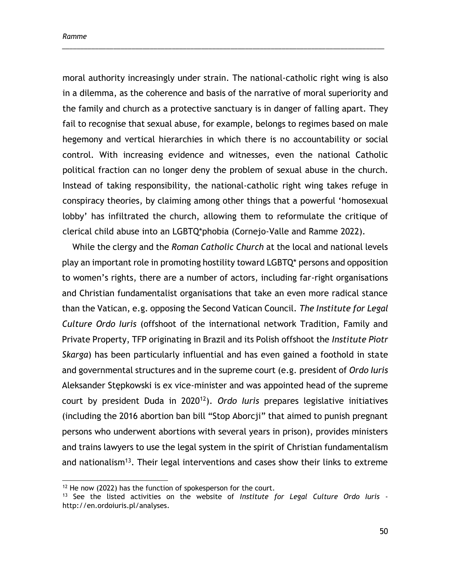moral authority increasingly under strain. The national-catholic right wing is also in a dilemma, as the coherence and basis of the narrative of moral superiority and the family and church as a protective sanctuary is in danger of falling apart. They fail to recognise that sexual abuse, for example, belongs to regimes based on male hegemony and vertical hierarchies in which there is no accountability or social control. With increasing evidence and witnesses, even the national Catholic political fraction can no longer deny the problem of sexual abuse in the church. Instead of taking responsibility, the national-catholic right wing takes refuge in conspiracy theories, by claiming among other things that a powerful 'homosexual lobby' has infiltrated the church, allowing them to reformulate the critique of clerical child abuse into an LGBTQ\*phobia (Cornejo-Valle and Ramme 2022).

\_\_\_\_\_\_\_\_\_\_\_\_\_\_\_\_\_\_\_\_\_\_\_\_\_\_\_\_\_\_\_\_\_\_\_\_\_\_\_\_\_\_\_\_\_\_\_\_\_\_\_\_\_\_\_\_\_\_\_\_\_\_\_\_\_\_\_\_\_\_\_\_\_\_\_\_\_\_\_\_\_\_\_\_\_\_\_\_

While the clergy and the *Roman Catholic Church* at the local and national levels play an important role in promoting hostility toward LGBTQ\* persons and opposition to women's rights, there are a number of actors, including far-right organisations and Christian fundamentalist organisations that take an even more radical stance than the Vatican, e.g. opposing the Second Vatican Council. *The Institute for Legal Culture Ordo Iuris* (offshoot of the international network Tradition, Family and Private Property, TFP originating in Brazil and its Polish offshoot the *Institute Piotr Skarga*) has been particularly influential and has even gained a foothold in state and governmental structures and in the supreme court (e.g. president of *Ordo Iuris* Aleksander Stępkowski is ex vice-minister and was appointed head of the supreme court by president Duda in 2020<sup>12</sup>). *Ordo Iuris* prepares legislative initiatives (including the 2016 abortion ban bill "Stop Aborcji" that aimed to punish pregnant persons who underwent abortions with several years in prison), provides ministers and trains lawyers to use the legal system in the spirit of Christian fundamentalism and nationalism<sup>13</sup>. Their legal interventions and cases show their links to extreme

<sup>&</sup>lt;sup>12</sup> He now (2022) has the function of spokesperson for the court.

<sup>13</sup> See the listed activities on the website of *Institute for Legal Culture Ordo Iuris* [http://en.ordoiuris.pl/analyses.](http://en.ordoiuris.pl/analyses)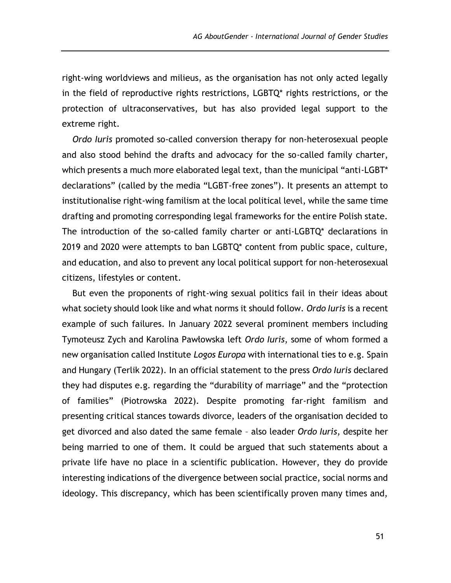right-wing worldviews and milieus, as the organisation has not only acted legally in the field of reproductive rights restrictions, LGBTQ\* rights restrictions, or the protection of ultraconservatives, but has also provided legal support to the extreme right.

*Ordo Iuris* promoted so-called conversion therapy for non-heterosexual people and also stood behind the drafts and advocacy for the so-called family charter, which presents a much more elaborated legal text, than the municipal "anti-LGBT\* declarations" (called by the media "LGBT-free zones"). It presents an attempt to institutionalise right-wing familism at the local political level, while the same time drafting and promoting corresponding legal frameworks for the entire Polish state. The introduction of the so-called family charter or anti-LGBTQ\* declarations in 2019 and 2020 were attempts to ban LGBTQ\* content from public space, culture, and education, and also to prevent any local political support for non-heterosexual citizens, lifestyles or content.

But even the proponents of right-wing sexual politics fail in their ideas about what society should look like and what norms it should follow. *Ordo Iuris* is a recent example of such failures. In January 2022 several prominent members including Tymoteusz Zych and Karolina Pawłowska left *Ordo Iuris*, some of whom formed a new organisation called Institute *Logos Europa* with international ties to e.g. Spain and Hungary (Terlik 2022). In an official statement to the press *Ordo Iuris* declared they had disputes e.g. regarding the "durability of marriage" and the "protection of families" (Piotrowska 2022). Despite promoting far-right familism and presenting critical stances towards divorce, leaders of the organisation decided to get divorced and also dated the same female – also leader *Ordo Iuris*, despite her being married to one of them. It could be argued that such statements about a private life have no place in a scientific publication. However, they do provide interesting indications of the divergence between social practice, social norms and ideology. This discrepancy, which has been scientifically proven many times and,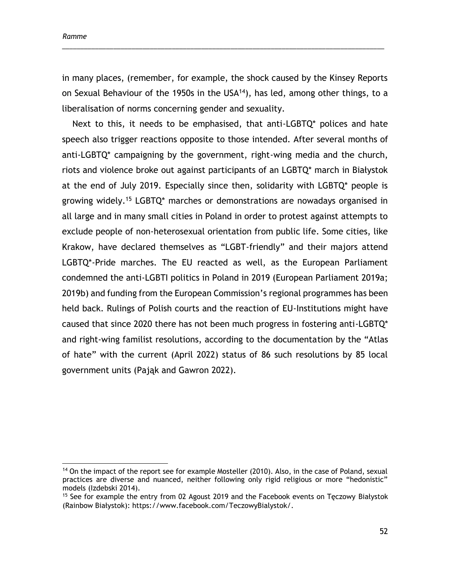in many places, (remember, for example, the shock caused by the Kinsey Reports on Sexual Behaviour of the 1950s in the USA $14$ ), has led, among other things, to a liberalisation of norms concerning gender and sexuality.

\_\_\_\_\_\_\_\_\_\_\_\_\_\_\_\_\_\_\_\_\_\_\_\_\_\_\_\_\_\_\_\_\_\_\_\_\_\_\_\_\_\_\_\_\_\_\_\_\_\_\_\_\_\_\_\_\_\_\_\_\_\_\_\_\_\_\_\_\_\_\_\_\_\_\_\_\_\_\_\_\_\_\_\_\_\_\_\_

Next to this, it needs to be emphasised, that anti-LGBTQ\* polices and hate speech also trigger reactions opposite to those intended. After several months of anti-LGBTQ\* campaigning by the government, right-wing media and the church, riots and violence broke out against participants of an LGBTQ\* march in Białystok at the end of July 2019. Especially since then, solidarity with LGBTQ\* people is growing widely.<sup>15</sup> LGBTQ\* marches or demonstrations are nowadays organised in all large and in many small cities in Poland in order to protest against attempts to exclude people of non-heterosexual orientation from public life. Some cities, like Krakow, have declared themselves as "LGBT-friendly" and their majors attend LGBTQ\*-Pride marches. The EU reacted as well, as the European Parliament condemned the anti-LGBTI politics in Poland in 2019 (European Parliament 2019a; 2019b) and funding from the European Commission's regional programmes has been held back. Rulings of Polish courts and the reaction of EU-Institutions might have caused that since 2020 there has not been much progress in fostering anti-LGBTQ\* and right-wing familist resolutions, according to the documentation by the "Atlas of hate" with the current (April 2022) status of 86 such resolutions by 85 local government units (Pająk and Gawron 2022).

<sup>&</sup>lt;sup>14</sup> On the impact of the report see for example Mosteller (2010). Also, in the case of Poland, sexual practices are diverse and nuanced, neither following only rigid religious or more "hedonistic" models (Izdebski 2014).

<sup>&</sup>lt;sup>15</sup> See for example the entry from 02 Agoust 2019 and the Facebook events on Teczowy Białystok (Rainbow Białystok): https://www.facebook.com/TeczowyBialystok/.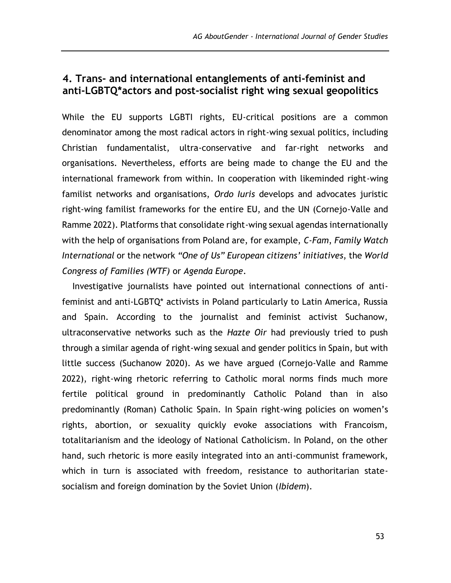# **4. Trans- and international entanglements of anti-feminist and anti-LGBTQ\*actors and post-socialist right wing sexual geopolitics**

While the EU supports LGBTI rights, EU-critical positions are a common denominator among the most radical actors in right-wing sexual politics, including Christian fundamentalist, ultra-conservative and far-right networks and organisations. Nevertheless, efforts are being made to change the EU and the international framework from within. In cooperation with likeminded right-wing familist networks and organisations, *Ordo Iuris* develops and advocates juristic right-wing familist frameworks for the entire EU, and the UN (Cornejo-Valle and Ramme 2022). Platforms that consolidate right-wing sexual agendas internationally with the help of organisations from Poland are, for example, *C-Fam*, *Family Watch International* or the network *"One of Us" European citizens' initiatives*, the *World Congress of Families (WTF)* or *Agenda Europe*.

Investigative journalists have pointed out international connections of antifeminist and anti-LGBTQ\* activists in Poland particularly to Latin America, Russia and Spain. According to the journalist and feminist activist Suchanow, ultraconservative networks such as the *Hazte Oir* had previously tried to push through a similar agenda of right-wing sexual and gender politics in Spain, but with little success (Suchanow 2020). As we have argued (Cornejo-Valle and Ramme 2022), right-wing rhetoric referring to Catholic moral norms finds much more fertile political ground in predominantly Catholic Poland than in also predominantly (Roman) Catholic Spain. In Spain right-wing policies on women's rights, abortion, or sexuality quickly evoke associations with Francoism, totalitarianism and the ideology of National Catholicism. In Poland, on the other hand, such rhetoric is more easily integrated into an anti-communist framework, which in turn is associated with freedom, resistance to authoritarian statesocialism and foreign domination by the Soviet Union (*Ibidem*).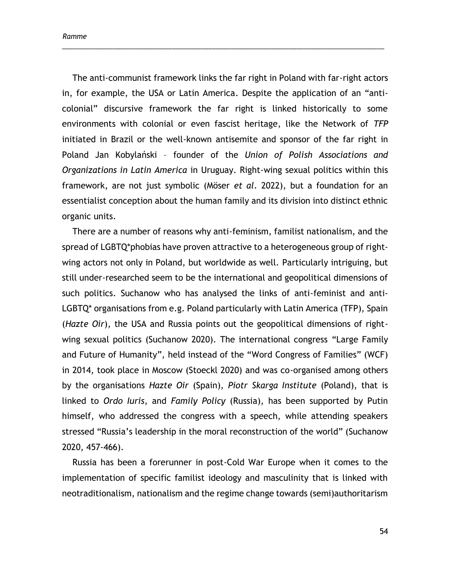The anti-communist framework links the far right in Poland with far-right actors in, for example, the USA or Latin America. Despite the application of an "anticolonial" discursive framework the far right is linked historically to some environments with colonial or even fascist heritage, like the Network of *TFP* initiated in Brazil or the well-known antisemite and sponsor of the far right in Poland Jan Kobylański – founder of the *Union of Polish Associations and Organizations in Latin America* in Uruguay. Right-wing sexual politics within this framework, are not just symbolic (Möser *et al*. 2022), but a foundation for an essentialist conception about the human family and its division into distinct ethnic organic units.

\_\_\_\_\_\_\_\_\_\_\_\_\_\_\_\_\_\_\_\_\_\_\_\_\_\_\_\_\_\_\_\_\_\_\_\_\_\_\_\_\_\_\_\_\_\_\_\_\_\_\_\_\_\_\_\_\_\_\_\_\_\_\_\_\_\_\_\_\_\_\_\_\_\_\_\_\_\_\_\_\_\_\_\_\_\_\_\_

There are a number of reasons why anti-feminism, familist nationalism, and the spread of LGBTQ\*phobias have proven attractive to a heterogeneous group of rightwing actors not only in Poland, but worldwide as well. Particularly intriguing, but still under-researched seem to be the international and geopolitical dimensions of such politics. Suchanow who has analysed the links of anti-feminist and anti-LGBTQ\* organisations from e.g. Poland particularly with Latin America (TFP), Spain (*Hazte Oir*), the USA and Russia points out the geopolitical dimensions of rightwing sexual politics (Suchanow 2020). The international congress "Large Family and Future of Humanity", held instead of the "Word Congress of Families" (WCF) in 2014, took place in Moscow (Stoeckl 2020) and was co-organised among others by the organisations *Hazte Oir* (Spain), *Piotr Skarga Institute* (Poland), that is linked to *Ordo Iuris*, and *Family Policy* (Russia), has been supported by Putin himself, who addressed the congress with a speech, while attending speakers stressed "Russia's leadership in the moral reconstruction of the world" (Suchanow 2020, 457-466).

Russia has been a forerunner in post-Cold War Europe when it comes to the implementation of specific familist ideology and masculinity that is linked with neotraditionalism, nationalism and the regime change towards (semi)authoritarism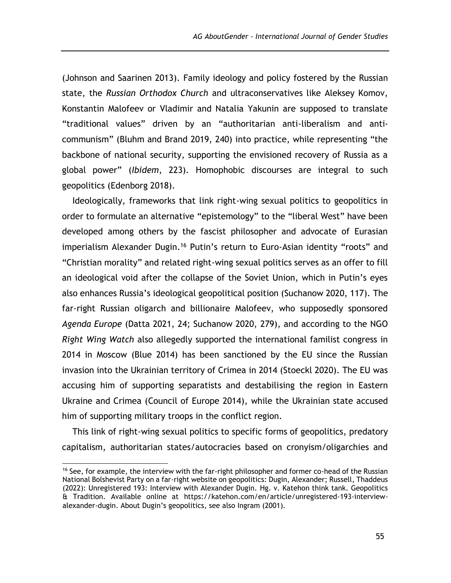(Johnson and Saarinen 2013). Family ideology and policy fostered by the Russian state, the *Russian Orthodox Church* and ultraconservatives like Aleksey Komov, Konstantin Malofeev or Vladimir and Natalia Yakunin are supposed to translate "traditional values" driven by an "authoritarian anti-liberalism and anticommunism" (Bluhm and Brand 2019, 240) into practice, while representing "the backbone of national security, supporting the envisioned recovery of Russia as a global power" (*Ibidem*, 223). Homophobic discourses are integral to such geopolitics (Edenborg 2018).

Ideologically, frameworks that link right-wing sexual politics to geopolitics in order to formulate an alternative "epistemology" to the "liberal West" have been developed among others by the fascist philosopher and advocate of Eurasian imperialism Alexander Dugin.<sup>16</sup> Putin's return to Euro-Asian identity "roots" and "Christian morality" and related right-wing sexual politics serves as an offer to fill an ideological void after the collapse of the Soviet Union, which in Putin's eyes also enhances Russia's ideological geopolitical position (Suchanow 2020, 117). The far-right Russian oligarch and billionaire Malofeev, who supposedly sponsored *Agenda Europe* (Datta 2021, 24; Suchanow 2020, 279), and according to the NGO *Right Wing Watch* also allegedly supported the international familist congress in 2014 in Moscow (Blue 2014) has been sanctioned by the EU since the Russian invasion into the Ukrainian territory of Crimea in 2014 (Stoeckl 2020). The EU was accusing him of supporting separatists and destabilising the region in Eastern Ukraine and Crimea (Council of Europe 2014), while the Ukrainian state accused him of supporting military troops in the conflict region.

This link of right-wing sexual politics to specific forms of geopolitics, predatory capitalism, authoritarian states/autocracies based on cronyism/oligarchies and

<sup>&</sup>lt;sup>16</sup> See, for example, the interview with the far-right philosopher and former co-head of the Russian National Bolshevist Party on a far-right website on geopolitics: Dugin, Alexander; Russell, Thaddeus (2022): Unregistered 193: Interview with Alexander Dugin. Hg. v. Katehon think tank. Geopolitics & Tradition. Available online at [https://katehon.com/en/article/unregistered-193-interview](https://katehon.com/en/article/unregistered-193-interview-alexander-dugin)[alexander-dugin.](https://katehon.com/en/article/unregistered-193-interview-alexander-dugin) About Dugin's geopolitics, see also Ingram (2001).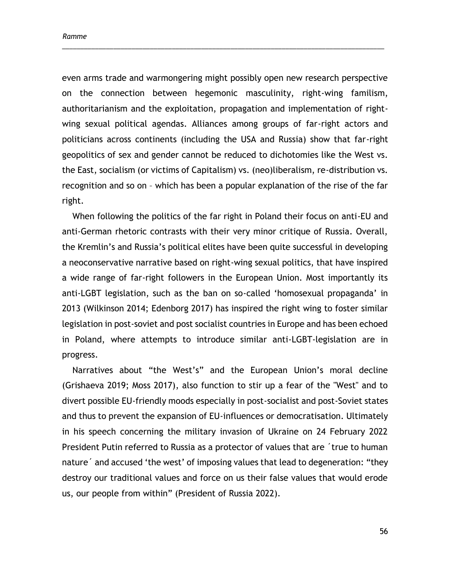even arms trade and warmongering might possibly open new research perspective on the connection between hegemonic masculinity, right-wing familism, authoritarianism and the exploitation, propagation and implementation of rightwing sexual political agendas. Alliances among groups of far-right actors and politicians across continents (including the USA and Russia) show that far-right geopolitics of sex and gender cannot be reduced to dichotomies like the West vs. the East, socialism (or victims of Capitalism) vs. (neo)liberalism, re-distribution vs. recognition and so on – which has been a popular explanation of the rise of the far right.

\_\_\_\_\_\_\_\_\_\_\_\_\_\_\_\_\_\_\_\_\_\_\_\_\_\_\_\_\_\_\_\_\_\_\_\_\_\_\_\_\_\_\_\_\_\_\_\_\_\_\_\_\_\_\_\_\_\_\_\_\_\_\_\_\_\_\_\_\_\_\_\_\_\_\_\_\_\_\_\_\_\_\_\_\_\_\_\_

When following the politics of the far right in Poland their focus on anti-EU and anti-German rhetoric contrasts with their very minor critique of Russia. Overall, the Kremlin's and Russia's political elites have been quite successful in developing a neoconservative narrative based on right-wing sexual politics, that have inspired a wide range of far-right followers in the European Union. Most importantly its anti-LGBT legislation, such as the ban on so-called 'homosexual propaganda' in 2013 (Wilkinson 2014; Edenborg 2017) has inspired the right wing to foster similar legislation in post-soviet and post socialist countries in Europe and has been echoed in Poland, where attempts to introduce similar anti-LGBT-legislation are in progress.

Narratives about "the West's" and the European Union's moral decline (Grishaeva 2019; Moss 2017), also function to stir up a fear of the "West" and to divert possible EU-friendly moods especially in post-socialist and post-Soviet states and thus to prevent the expansion of EU-influences or democratisation. Ultimately in his speech concerning the military invasion of Ukraine on 24 February 2022 President Putin referred to Russia as a protector of values that are ´true to human nature´ and accused 'the west' of imposing values that lead to degeneration: "they destroy our traditional values and force on us their false values that would erode us, our people from within" (President of Russia 2022).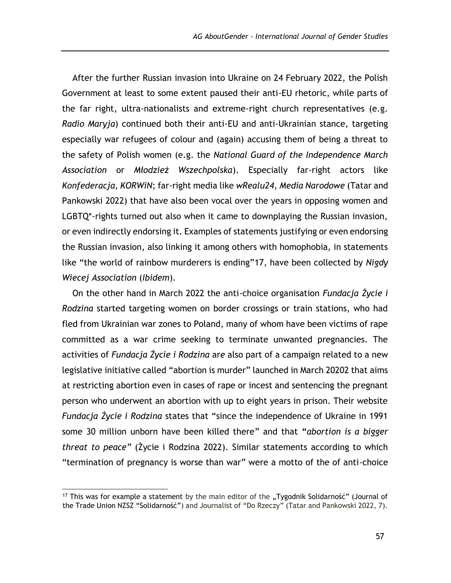After the further Russian invasion into Ukraine on 24 February 2022, the Polish Government at least to some extent paused their anti-EU rhetoric, while parts of the far right, ultra-nationalists and extreme-right church representatives (e.g. *Radio Maryja*) continued both their anti-EU and anti-Ukrainian stance, targeting especially war refugees of colour and (again) accusing them of being a threat to the safety of Polish women (e.g. the *National Guard of the Independence March Association* or *Młodzież Wszechpolska*). Especially far-right actors like *Konfederacja, KORWiN*; far-right media like *wRealu24*, *Media Narodowe* (Tatar and Pankowski 2022) that have also been vocal over the years in opposing women and LGBTQ\*-rights turned out also when it came to downplaying the Russian invasion, or even indirectly endorsing it. Examples of statements justifying or even endorsing the Russian invasion, also linking it among others with homophobia, in statements like "the world of rainbow murderers is ending"17, have been collected by *Nigdy Wiecej Association* (*Ibidem*).

On the other hand in March 2022 the anti-choice organisation *Fundacja Życie i Rodzina* started targeting women on border crossings or train stations, who had fled from Ukrainian war zones to Poland, many of whom have been victims of rape committed as a war crime seeking to terminate unwanted pregnancies. The activities of *Fundacja Życie i Rodzina* ar*e* also part of a campaign related to a new legislative initiative called "abortion is murder" launched in March 20202 that aims at restricting abortion even in cases of rape or incest and sentencing the pregnant person who underwent an abortion with up to eight years in prison. Their website *Fundacja Życie i Rodzina* states that "since the independence of Ukraine in 1991 some 30 million unborn have been killed there" and that **"***abortion is a bigger threat to peace"* (Życie i Rodzina 2022). Similar statements according to which "termination of pregnancy is worse than war" were a motto of the of anti-choice

<sup>&</sup>lt;sup>17</sup> This was for example a statement by the main editor of the "Tygodnik Solidarność" (Journal of the Trade Union NZSZ "Solidarność") and Journalist of "Do Rzeczy" (Tatar and Pankowski 2022, 7).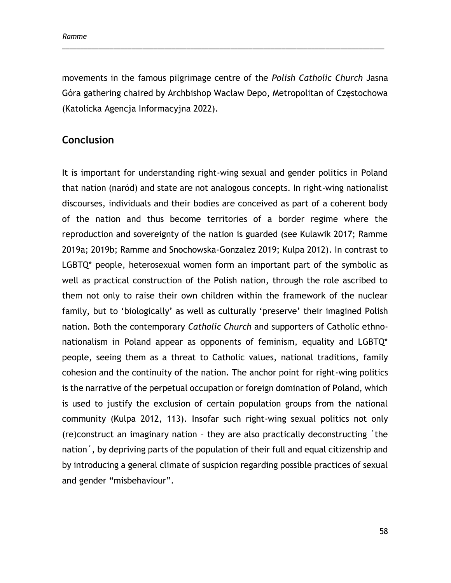movements in the famous pilgrimage centre of the *Polish Catholic Church* Jasna Góra gathering chaired by Archbishop Wacław Depo, Metropolitan of Częstochowa (Katolicka Agencja Informacyjna 2022).

\_\_\_\_\_\_\_\_\_\_\_\_\_\_\_\_\_\_\_\_\_\_\_\_\_\_\_\_\_\_\_\_\_\_\_\_\_\_\_\_\_\_\_\_\_\_\_\_\_\_\_\_\_\_\_\_\_\_\_\_\_\_\_\_\_\_\_\_\_\_\_\_\_\_\_\_\_\_\_\_\_\_\_\_\_\_\_\_

# **Conclusion**

It is important for understanding right-wing sexual and gender politics in Poland that nation (naród) and state are not analogous concepts. In right-wing nationalist discourses, individuals and their bodies are conceived as part of a coherent body of the nation and thus become territories of a border regime where the reproduction and sovereignty of the nation is guarded (see Kulawik 2017; Ramme 2019a; 2019b; Ramme and Snochowska-Gonzalez 2019; Kulpa 2012). In contrast to LGBTQ<sup>\*</sup> people, heterosexual women form an important part of the symbolic as well as practical construction of the Polish nation, through the role ascribed to them not only to raise their own children within the framework of the nuclear family, but to 'biologically' as well as culturally 'preserve' their imagined Polish nation. Both the contemporary *Catholic Church* and supporters of Catholic ethnonationalism in Poland appear as opponents of feminism, equality and LGBTQ\* people, seeing them as a threat to Catholic values, national traditions, family cohesion and the continuity of the nation. The anchor point for right-wing politics is the narrative of the perpetual occupation or foreign domination of Poland, which is used to justify the exclusion of certain population groups from the national community (Kulpa 2012, 113). Insofar such right-wing sexual politics not only (re)construct an imaginary nation – they are also practically deconstructing ´the nation´, by depriving parts of the population of their full and equal citizenship and by introducing a general climate of suspicion regarding possible practices of sexual and gender "misbehaviour".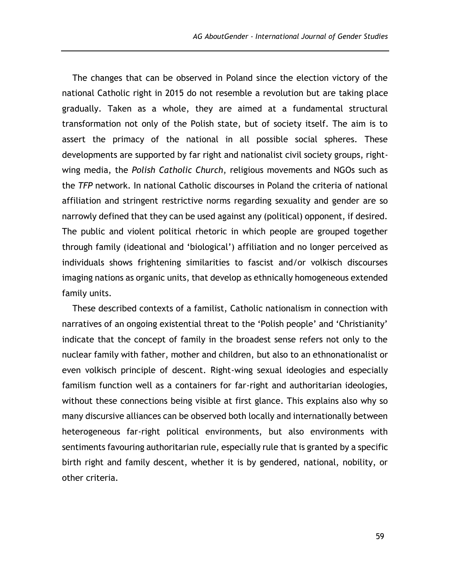The changes that can be observed in Poland since the election victory of the national Catholic right in 2015 do not resemble a revolution but are taking place gradually. Taken as a whole, they are aimed at a fundamental structural transformation not only of the Polish state, but of society itself. The aim is to assert the primacy of the national in all possible social spheres. These developments are supported by far right and nationalist civil society groups, rightwing media, the *Polish Catholic Church*, religious movements and NGOs such as the *TFP* network. In national Catholic discourses in Poland the criteria of national affiliation and stringent restrictive norms regarding sexuality and gender are so narrowly defined that they can be used against any (political) opponent, if desired. The public and violent political rhetoric in which people are grouped together through family (ideational and 'biological') affiliation and no longer perceived as individuals shows frightening similarities to fascist and/or volkisch discourses imaging nations as organic units, that develop as ethnically homogeneous extended family units.

These described contexts of a familist, Catholic nationalism in connection with narratives of an ongoing existential threat to the 'Polish people' and 'Christianity' indicate that the concept of family in the broadest sense refers not only to the nuclear family with father, mother and children, but also to an ethnonationalist or even volkisch principle of descent. Right-wing sexual ideologies and especially familism function well as a containers for far-right and authoritarian ideologies, without these connections being visible at first glance. This explains also why so many discursive alliances can be observed both locally and internationally between heterogeneous far-right political environments, but also environments with sentiments favouring authoritarian rule, especially rule that is granted by a specific birth right and family descent, whether it is by gendered, national, nobility, or other criteria.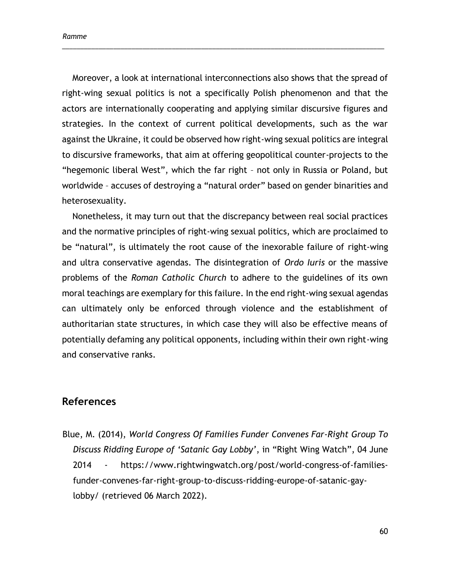Moreover, a look at international interconnections also shows that the spread of right-wing sexual politics is not a specifically Polish phenomenon and that the actors are internationally cooperating and applying similar discursive figures and strategies. In the context of current political developments, such as the war against the Ukraine, it could be observed how right-wing sexual politics are integral to discursive frameworks, that aim at offering geopolitical counter-projects to the "hegemonic liberal West", which the far right – not only in Russia or Poland, but worldwide – accuses of destroying a "natural order" based on gender binarities and heterosexuality.

\_\_\_\_\_\_\_\_\_\_\_\_\_\_\_\_\_\_\_\_\_\_\_\_\_\_\_\_\_\_\_\_\_\_\_\_\_\_\_\_\_\_\_\_\_\_\_\_\_\_\_\_\_\_\_\_\_\_\_\_\_\_\_\_\_\_\_\_\_\_\_\_\_\_\_\_\_\_\_\_\_\_\_\_\_\_\_\_

Nonetheless, it may turn out that the discrepancy between real social practices and the normative principles of right-wing sexual politics, which are proclaimed to be "natural", is ultimately the root cause of the inexorable failure of right-wing and ultra conservative agendas. The disintegration of *Ordo Iuris* or the massive problems of the *Roman Catholic Church* to adhere to the guidelines of its own moral teachings are exemplary for this failure. In the end right-wing sexual agendas can ultimately only be enforced through violence and the establishment of authoritarian state structures, in which case they will also be effective means of potentially defaming any political opponents, including within their own right-wing and conservative ranks.

### **References**

Blue, M. (2014), *World Congress Of Families Funder Convenes Far-Right Group To Discuss Ridding Europe of 'Satanic Gay Lobby'*, in "Right Wing Watch", 04 June 2014 - [https://www.rightwingwatch.org/post/world-congress-of-families](https://www.rightwingwatch.org/post/world-congress-of-families-funder-convenes-far-right-group-to-discuss-ridding-europe-of-satanic-gay-lobby/)[funder-convenes-far-right-group-to-discuss-ridding-europe-of-satanic-gay](https://www.rightwingwatch.org/post/world-congress-of-families-funder-convenes-far-right-group-to-discuss-ridding-europe-of-satanic-gay-lobby/)[lobby/](https://www.rightwingwatch.org/post/world-congress-of-families-funder-convenes-far-right-group-to-discuss-ridding-europe-of-satanic-gay-lobby/) (retrieved 06 March 2022).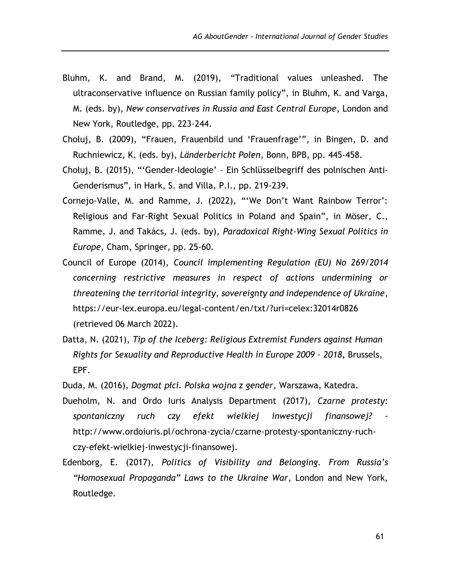- Bluhm, K. and Brand, M. (2019), "Traditional values unleashed. The ultraconservative influence on Russian family policy", in Bluhm, K. and Varga, M. (eds. by), *New conservatives in Russia and East Central Europe*, London and New York, Routledge, pp. 223-244.
- Chołuj, B. (2009), "Frauen, Frauenbild und 'Frauenfrage'", in Bingen, D. and Ruchniewicz, K. (eds. by), *Länderbericht Polen*, Bonn, BPB, pp. 445-458.
- Chołuj, B. (2015), "'Gender-Ideologie' Ein Schlüsselbegriff des polnischen Anti-Genderismus", in Hark, S. and Villa, P.I., pp. 219-239.
- Cornejo-Valle, M. and Ramme, J. (2022), "'We Don't Want Rainbow Terror': Religious and Far-Right Sexual Politics in Poland and Spain", in Möser, C., Ramme, J. and Takács, J. (eds. by), *Paradoxical Right-Wing Sexual Politics in Europe*, Cham, Springer, pp. 25-60.
- Council of Europe (2014), *Council implementing Regulation (EU) No 269/2014 concerning restrictive measures in respect of actions undermining or threatening the territorial integrity, sovereignty and independence of Ukraine*, <https://eur-lex.europa.eu/legal-content/en/txt/?uri=celex:32014r0826> (retrieved 06 March 2022).
- Datta, N. (2021), *Tip of the Iceberg: Religious Extremist Funders against Human Rights for Sexuality and Reproductive Health in Europe 2009 – 2018*, Brussels, EPF.
- Duda, M. (2016), *Dogmat płci. Polska wojna z gender*, Warszawa, Katedra.
- Dueholm, N. and Ordo Iuris Analysis Department (2017), *Czarne protesty: spontaniczny ruch czy efekt wielkiej inwestycji finansowej?* http://www.ordoiuris.pl/ochrona-zycia/czarne-protesty-spontaniczny-ruchczy-efekt-wielkiej-inwestycji-finansowej.
- Edenborg, E. (2017), *Politics of Visibility and Belonging. From Russia's "Homosexual Propaganda" Laws to the Ukraine War*, London and New York, Routledge.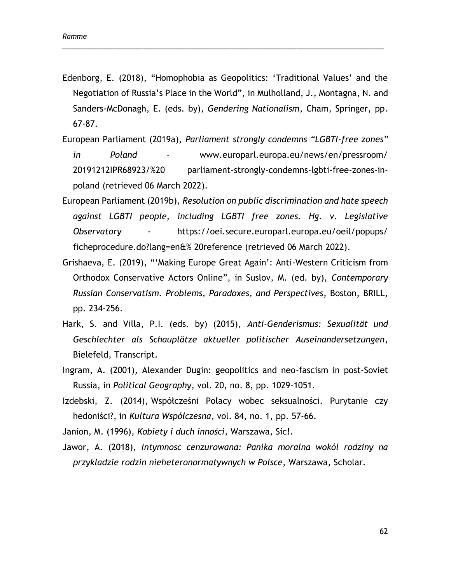Edenborg, E. (2018), "Homophobia as Geopolitics: 'Traditional Values' and the Negotiation of Russia's Place in the World", in Mulholland, J., Montagna, N. and Sanders-McDonagh, E. (eds. by), *Gendering Nationalism*, Cham, Springer, pp. 67-87.

\_\_\_\_\_\_\_\_\_\_\_\_\_\_\_\_\_\_\_\_\_\_\_\_\_\_\_\_\_\_\_\_\_\_\_\_\_\_\_\_\_\_\_\_\_\_\_\_\_\_\_\_\_\_\_\_\_\_\_\_\_\_\_\_\_\_\_\_\_\_\_\_\_\_\_\_\_\_\_\_\_\_\_\_\_\_\_\_

- European Parliament (2019a), *Parliament strongly condemns "LGBTI-free zones" in Poland* - [www.europarl.europa.eu/news/en/pressroom/](http://www.europarl.europa.eu/news/en/pressroom/%2020191212IPR68923/%20%20parliament-strongly-condemns-lgbti-free-zones-in-poland)  [20191212IPR68923/%20 parliament-strongly-condemns-lgbti-free-zones-in](http://www.europarl.europa.eu/news/en/pressroom/%2020191212IPR68923/%20%20parliament-strongly-condemns-lgbti-free-zones-in-poland)[poland](http://www.europarl.europa.eu/news/en/pressroom/%2020191212IPR68923/%20%20parliament-strongly-condemns-lgbti-free-zones-in-poland) (retrieved 06 March 2022).
- European Parliament (2019b), *Resolution on public discrimination and hate speech against LGBTI people, including LGBTI free zones. Hg. v. Legislative Observatory* - [https://oei.secure.europarl.europa.eu/oeil/popups/](https://oei.secure.europarl.europa.eu/oeil/popups/%20ficheprocedure.do?lang=en&%25%2020reference)  [ficheprocedure.do?lang=en&% 20reference](https://oei.secure.europarl.europa.eu/oeil/popups/%20ficheprocedure.do?lang=en&%25%2020reference) (retrieved 06 March 2022).
- Grishaeva, E. (2019), "'Making Europe Great Again': Anti-Western Criticism from Orthodox Conservative Actors Online", in Suslov, M. (ed. by), *Contemporary Russian Conservatism. Problems, Paradoxes, and Perspectives*, Boston, BRILL, pp. 234-256.
- Hark, S. and Villa, P.I. (eds. by) (2015), *Anti-Genderismus: Sexualität und Geschlechter als Schauplätze aktueller politischer Auseinandersetzungen*, Bielefeld, Transcript.
- Ingram, A. (2001), Alexander Dugin: geopolitics and neo-fascism in post-Soviet Russia, in *Political Geography*, vol. 20, no. 8, pp. 1029-1051.
- Izdebski, Z. (2014), Współcześni Polacy wobec seksualności. Purytanie czy hedoniści?, in *Kultura Współczesna*, vol. 84, no. 1, pp. 57-66.

Janion, M. (1996), *Kobiety i duch inności*, Warszawa, Sic!.

Jawor, A. (2018), *Intymnosc cenzurowana: Panika moralna wokól rodziny na przykladzie rodzin nieheteronormatywnych w Polsce*, Warszawa, Scholar.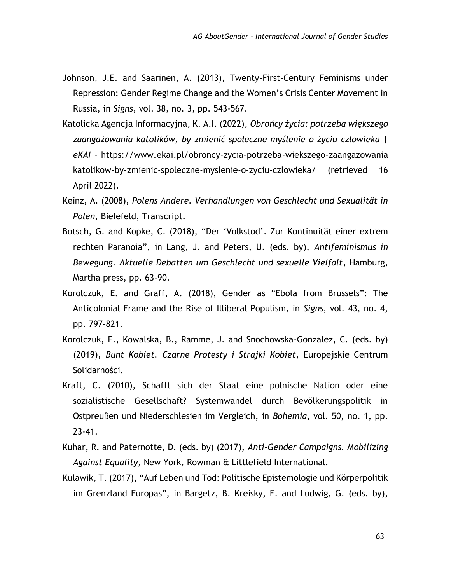- Johnson, J.E. and Saarinen, A. (2013), Twenty-First-Century Feminisms under Repression: Gender Regime Change and the Women's Crisis Center Movement in Russia, in *Signs*, vol. 38, no. 3, pp. 543-567.
- Katolicka Agencja Informacyjna, K. A.I. (2022), *Obrońcy życia: potrzeba większego zaangażowania katolików, by zmienić społeczne myślenie o życiu człowieka | eKAI* - [https://www.ekai.pl/obroncy-zycia-potrzeba-wiekszego-zaangazow](https://www.ekai.pl/obroncy-zycia-potrzeba-wiekszego-zaangazo)ania katolikow-by-zmienic-spoleczne-myslenie-o-zyciu-czlowieka/ (retrieved 16 April 2022).
- Keinz, A. (2008), *Polens Andere. Verhandlungen von Geschlecht und Sexualität in Polen*, Bielefeld, Transcript.
- Botsch, G. and Kopke, C. (2018), "Der 'Volkstod'. Zur Kontinuität einer extrem rechten Paranoia", in Lang, J. and Peters, U. (eds. by), *Antifeminismus in Bewegung. Aktuelle Debatten um Geschlecht und sexuelle Vielfalt*, Hamburg, Martha press, pp. 63-90.
- Korolczuk, E. and Graff, A. (2018), Gender as "Ebola from Brussels": The Anticolonial Frame and the Rise of Illiberal Populism, in *Signs*, vol. 43, no. 4, pp. 797-821.
- Korolczuk, E., Kowalska, B., Ramme, J. and Snochowska-Gonzalez, C. (eds. by) (2019), *Bunt Kobiet. Czarne Protesty i Strajki Kobiet*, Europejskie Centrum Solidarności.
- Kraft, C. (2010), Schafft sich der Staat eine polnische Nation oder eine sozialistische Gesellschaft? Systemwandel durch Bevölkerungspolitik in Ostpreußen und Niederschlesien im Vergleich, in *Bohemia*, vol. 50, no. 1, pp. 23-41.
- Kuhar, R. and Paternotte, D. (eds. by) (2017), *Anti-Gender Campaigns. Mobilizing Against Equality*, New York, Rowman & Littlefield International.
- Kulawik, T. (2017), "Auf Leben und Tod: Politische Epistemologie und Körperpolitik im Grenzland Europas", in Bargetz, B. Kreisky, E. and Ludwig, G. (eds. by),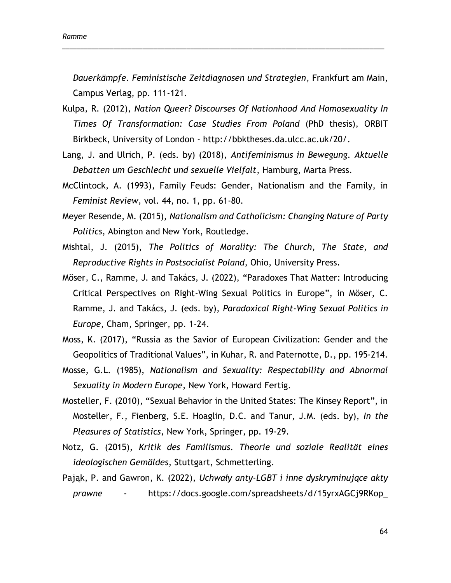*Dauerkämpfe. Feministische Zeitdiagnosen und Strategien*, Frankfurt am Main, Campus Verlag, pp. 111-121.

\_\_\_\_\_\_\_\_\_\_\_\_\_\_\_\_\_\_\_\_\_\_\_\_\_\_\_\_\_\_\_\_\_\_\_\_\_\_\_\_\_\_\_\_\_\_\_\_\_\_\_\_\_\_\_\_\_\_\_\_\_\_\_\_\_\_\_\_\_\_\_\_\_\_\_\_\_\_\_\_\_\_\_\_\_\_\_\_

- Kulpa, R. (2012), *Nation Queer? Discourses Of Nationhood And Homosexuality In Times Of Transformation: Case Studies From Poland* (PhD thesis), ORBIT Birkbeck, University of London - [http://bbktheses.da.ulcc.ac.uk/20/.](http://bbktheses.da.ulcc.ac.uk/20/)
- Lang, J. and Ulrich, P. (eds. by) (2018), *Antifeminismus in Bewegung. Aktuelle Debatten um Geschlecht und sexuelle Vielfalt*, Hamburg, Marta Press.
- McClintock, A. (1993), Family Feuds: Gender, Nationalism and the Family, in *Feminist Review,* vol. 44, no. 1, pp. 61-80.
- Meyer Resende, M. (2015), *Nationalism and Catholicism: Changing Nature of Party Politics*, Abington and New York, Routledge.
- Mishtal, J. (2015), *The Politics of Morality: The Church, The State, and Reproductive Rights in Postsocialist Poland*, Ohio, University Press.
- Möser, C., Ramme, J. and Takács, J. (2022), "Paradoxes That Matter: Introducing Critical Perspectives on Right-Wing Sexual Politics in Europe", in Möser, C. Ramme, J. and Takács, J. (eds. by), *Paradoxical Right-Wing Sexual Politics in Europe*, Cham, Springer, pp. 1-24.
- Moss, K. (2017), "Russia as the Savior of European Civilization: Gender and the Geopolitics of Traditional Values", in Kuhar, R. and Paternotte, D., pp. 195-214.
- Mosse, G.L. (1985), *Nationalism and Sexuality: Respectability and Abnormal Sexuality in Modern Europe*, New York, Howard Fertig.
- Mosteller, F. (2010), "Sexual Behavior in the United States: The Kinsey Report", in Mosteller, F., Fienberg, S.E. Hoaglin, D.C. and Tanur, J.M. (eds. by), *In the Pleasures of Statistics*, New York, Springer, pp. 19-29.
- Notz, G. (2015), *Kritik des Familismus. Theorie und soziale Realität eines ideologischen Gemäldes*, Stuttgart, Schmetterling.
- Pająk, P. and Gawron, K. (2022), *Uchwały anty-LGBT i inne dyskryminujące akty prawne* - [https://docs.google.com/spreadsheets/d/15yrxAGCj9RKop\\_](https://docs.google.com/spreadsheets/d/15yrxAGCj9RKop_%20IBz35OuD5%20KKylSIHUVnpfJ2b5W8Xg/edit#gid=1811247053)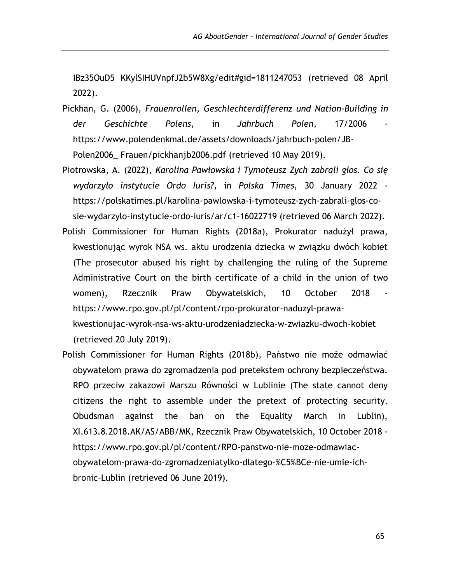[IBz35OuD5 KKylSIHUVnpfJ2b5W8Xg/edit#gid=1811247053](https://docs.google.com/spreadsheets/d/15yrxAGCj9RKop_%20IBz35OuD5%20KKylSIHUVnpfJ2b5W8Xg/edit#gid=1811247053) (retrieved 08 April 2022).

- Pickhan, G. (2006), *Frauenrollen, Geschlechterdifferenz und Nation-Building in*  der Geschichte Polens, in Jahrbuch Polen, 17/2006 [https://www.polendenkmal.de/assets/downloads/jahrbuch-polen/JB-](https://www.polendenkmal.de/assets/downloads/jahrbuch-polen/JB-Polen2006_)Polen2006 Frauen/pickhanjb2006.pdf (retrieved 10 May 2019).
- Piotrowska, A. (2022), *Karolina Pawłowska i Tymoteusz Zych zabrali głos. Co się wydarzyło instytucie Ordo Iuris?*, in *Polska Times*, 30 January 2022 [https://polskatimes.pl/karolina-pawlowska-i-tymoteusz-zych-zabrali-glos-co](https://polskatimes.pl/karolina-pawlowska-i-tymoteusz-zych-zabrali-glos-co-sie-wydarzylo-instytucie-ordo-iuris/ar/c1-16022719)[sie-wydarzylo-instytucie-ordo-iuris/ar/c1-16022719](https://polskatimes.pl/karolina-pawlowska-i-tymoteusz-zych-zabrali-glos-co-sie-wydarzylo-instytucie-ordo-iuris/ar/c1-16022719) (retrieved 06 March 2022).
- Polish Commissioner for Human Rights (2018a), Prokurator nadużył prawa, kwestionując wyrok NSA ws. aktu urodzenia dziecka w związku dwóch kobiet (The prosecutor abused his right by challenging the ruling of the Supreme Administrative Court on the birth certificate of a child in the union of two women), Rzecznik Praw Obywatelskich, 10 October 2018 https://www.rpo.gov.pl/pl/content/rpo-prokurator-naduzyl-prawakwestionujac-wyrok-nsa-ws-aktu-urodzeniadziecka-w-zwiazku-dwoch-kobiet (retrieved 20 July 2019).
- Polish Commissioner for Human Rights (2018b), Państwo nie może odmawiać obywatelom prawa do zgromadzenia pod pretekstem ochrony bezpieczeństwa. RPO przeciw zakazowi Marszu Równości w Lublinie (The state cannot deny citizens the right to assemble under the pretext of protecting security. Obudsman against the ban on the Equality March in Lublin), XI.613.8.2018.AK/AS/ABB/MK, Rzecznik Praw Obywatelskich, 10 October 2018 https://www.rpo.gov.pl/pl/content/RPO-panstwo-nie-moze-odmawiacobywatelom-prawa-do-zgromadzeniatylko-dlatego-%C5%BCe-nie-umie-ichbronic-Lublin (retrieved 06 June 2019).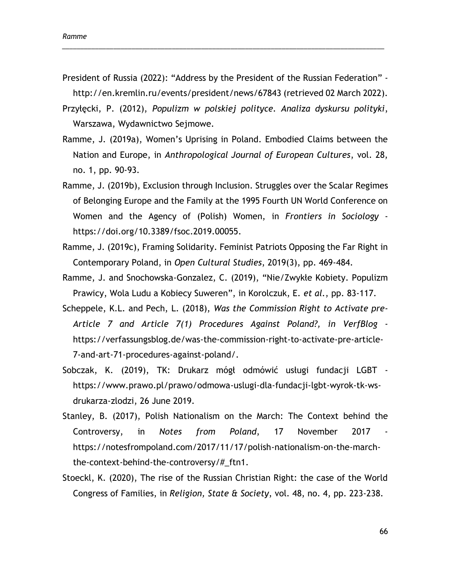President of Russia (2022): "Address by the President of the Russian Federation" <http://en.kremlin.ru/events/president/news/67843> (retrieved 02 March 2022).

\_\_\_\_\_\_\_\_\_\_\_\_\_\_\_\_\_\_\_\_\_\_\_\_\_\_\_\_\_\_\_\_\_\_\_\_\_\_\_\_\_\_\_\_\_\_\_\_\_\_\_\_\_\_\_\_\_\_\_\_\_\_\_\_\_\_\_\_\_\_\_\_\_\_\_\_\_\_\_\_\_\_\_\_\_\_\_\_

- Przyłęcki, P. (2012), *Populizm w polskiej polityce. Analiza dyskursu polityki*, Warszawa, Wydawnictwo Sejmowe.
- Ramme, J. (2019a), Women's Uprising in Poland. Embodied Claims between the Nation and Europe, in *Anthropological Journal of European Cultures*, vol. 28, no. 1, pp. 90-93.
- Ramme, J. (2019b), Exclusion through Inclusion. Struggles over the Scalar Regimes of Belonging Europe and the Family at the 1995 Fourth UN World Conference on Women and the Agency of (Polish) Women, in *Frontiers in Sociology* [https://doi.org/10.3389/fsoc.2019.00055.](https://doi.org/10.3389/fsoc.2019.00055)
- Ramme, J. (2019c), Framing Solidarity. Feminist Patriots Opposing the Far Right in Contemporary Poland, in *Open Cultural Studies*, 2019(3), pp. 469-484.
- Ramme, J. and Snochowska-Gonzalez, C. (2019), "Nie/Zwykłe Kobiety. Populizm Prawicy, Wola Ludu a Kobiecy Suweren", in Korolczuk, E. *et al.*, pp. 83-117.
- Scheppele, K.L. and Pech, L. (2018), *Was the Commission Right to Activate pre-Article 7 and Article 7(1) Procedures Against Poland?, in VerfBlog*  [https://verfassungsblog.de/was-the-commission-right-to-activate-pre-article-](https://verfassungsblog.de/was-the-commission-right-to-activate-pre-article-7-and-art-71-procedures-against-poland/)[7-and-art-71-procedures-against-poland/.](https://verfassungsblog.de/was-the-commission-right-to-activate-pre-article-7-and-art-71-procedures-against-poland/)
- Sobczak, K. (2019), TK: Drukarz mógł odmówić usługi fundacji LGBT [https://www.prawo.pl/prawo/odmowa-uslugi-dla-fundacji-lgbt-wyrok-tk-ws](https://www.prawo.pl/prawo/odmowa-uslugi-dla-fundacji-lgbt-wyrok-tk-ws-drukarza-zlodzi)[drukarza-zlodzi,](https://www.prawo.pl/prawo/odmowa-uslugi-dla-fundacji-lgbt-wyrok-tk-ws-drukarza-zlodzi) 26 June 2019.
- Stanley, B. (2017), Polish Nationalism on the March: The Context behind the Controversy, in *Notes from Poland*, 17 November 2017 [https://notesfrompoland.com/2017/11/17/polish-nationalism-on-the-march](https://notesfrompoland.com/2017/11/17/polish-nationalism-on-the-march-the-context-behind-the-controversy/#_ftn1)[the-context-behind-the-controversy/#\\_ftn1.](https://notesfrompoland.com/2017/11/17/polish-nationalism-on-the-march-the-context-behind-the-controversy/#_ftn1)
- Stoeckl, K. (2020), The rise of the Russian Christian Right: the case of the World Congress of Families, in *Religion, State & Society*, vol. 48, no. 4, pp. 223-238.